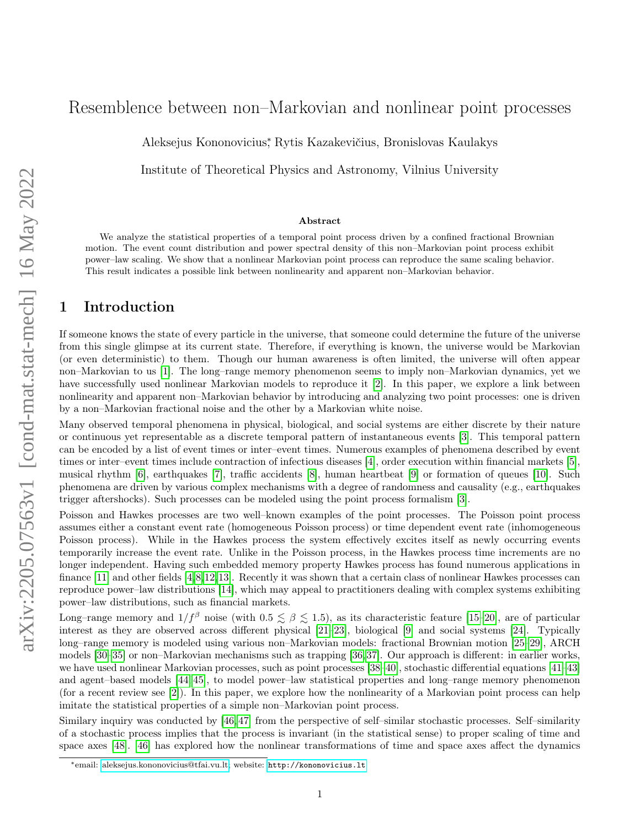# Resemblence between non–Markovian and nonlinear point processes

Aleksejus Kononovicius<sup>∗</sup> , Rytis Kazakevičius, Bronislovas Kaulakys

Institute of Theoretical Physics and Astronomy, Vilnius University

#### Abstract

We analyze the statistical properties of a temporal point process driven by a confined fractional Brownian motion. The event count distribution and power spectral density of this non–Markovian point process exhibit power–law scaling. We show that a nonlinear Markovian point process can reproduce the same scaling behavior. This result indicates a possible link between nonlinearity and apparent non–Markovian behavior.

### 1 Introduction

If someone knows the state of every particle in the universe, that someone could determine the future of the universe from this single glimpse at its current state. Therefore, if everything is known, the universe would be Markovian (or even deterministic) to them. Though our human awareness is often limited, the universe will often appear non–Markovian to us [\[1\]](#page-6-0). The long–range memory phenomenon seems to imply non–Markovian dynamics, yet we have successfully used nonlinear Markovian models to reproduce it [\[2\]](#page-6-1). In this paper, we explore a link between nonlinearity and apparent non–Markovian behavior by introducing and analyzing two point processes: one is driven by a non–Markovian fractional noise and the other by a Markovian white noise.

Many observed temporal phenomena in physical, biological, and social systems are either discrete by their nature or continuous yet representable as a discrete temporal pattern of instantaneous events [\[3\]](#page-6-2). This temporal pattern can be encoded by a list of event times or inter–event times. Numerous examples of phenomena described by event times or inter–event times include contraction of infectious diseases [\[4\]](#page-6-3), order execution within financial markets [\[5\]](#page-6-4), musical rhythm [\[6\]](#page-6-5), earthquakes [\[7\]](#page-6-6), traffic accidents [\[8\]](#page-6-7), human heartbeat [\[9\]](#page-6-8) or formation of queues [\[10\]](#page-6-9). Such phenomena are driven by various complex mechanisms with a degree of randomness and causality (e.g., earthquakes trigger aftershocks). Such processes can be modeled using the point process formalism [\[3\]](#page-6-2).

Poisson and Hawkes processes are two well–known examples of the point processes. The Poisson point process assumes either a constant event rate (homogeneous Poisson process) or time dependent event rate (inhomogeneous Poisson process). While in the Hawkes process the system effectively excites itself as newly occurring events temporarily increase the event rate. Unlike in the Poisson process, in the Hawkes process time increments are no longer independent. Having such embedded memory property Hawkes process has found numerous applications in finance [\[11\]](#page-7-0) and other fields [\[4,](#page-6-3)[8,](#page-6-7)[12,](#page-7-1)[13\]](#page-7-2). Recently it was shown that a certain class of nonlinear Hawkes processes can reproduce power–law distributions [\[14\]](#page-7-3), which may appeal to practitioners dealing with complex systems exhibiting power–law distributions, such as financial markets.

Long–range memory and  $1/f^{\beta}$  noise (with  $0.5 \lesssim \beta \lesssim 1.5$ ), as its characteristic feature [\[15–](#page-7-4)[20\]](#page-7-5), are of particular interest as they are observed across different physical [\[21–](#page-7-6)[23\]](#page-7-7), biological [\[9\]](#page-6-8) and social systems [\[24\]](#page-7-8). Typically long–range memory is modeled using various non–Markovian models: fractional Brownian motion [\[25–](#page-7-9)[29\]](#page-7-10), ARCH models [\[30–](#page-7-11)[35\]](#page-8-0) or non–Markovian mechanisms such as trapping [\[36,](#page-8-1)[37\]](#page-8-2). Our approach is different: in earlier works, we have used nonlinear Markovian processes, such as point processes [\[38–](#page-8-3)[40\]](#page-8-4), stochastic differential equations [\[41–](#page-8-5)[43\]](#page-8-6) and agent–based models [\[44,](#page-8-7) [45\]](#page-8-8), to model power–law statistical properties and long–range memory phenomenon (for a recent review see [\[2\]](#page-6-1)). In this paper, we explore how the nonlinearity of a Markovian point process can help imitate the statistical properties of a simple non–Markovian point process.

Similary inquiry was conducted by [\[46,](#page-8-9)47] from the perspective of self–similar stochastic processes. Self–similarity of a stochastic process implies that the process is invariant (in the statistical sense) to proper scaling of time and space axes [\[48\]](#page-8-11). [\[46\]](#page-8-9) has explored how the nonlinear transformations of time and space axes affect the dynamics

<sup>∗</sup>email: [aleksejus.kononovicius@tfai.vu.lt;](mailto:aleksejus.kononovicius@tfai.vu.lt) website: <http://kononovicius.lt>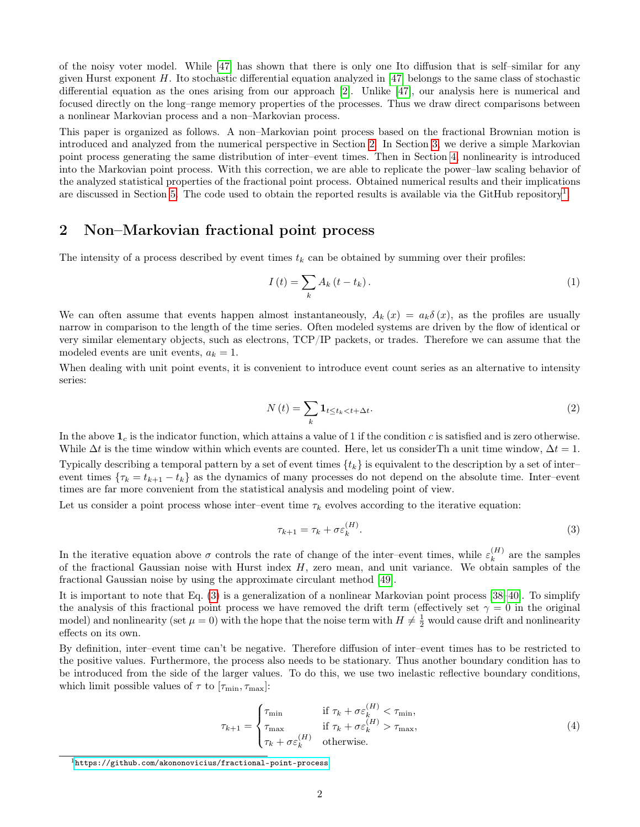of the noisy voter model. While [\[47\]](#page-8-10) has shown that there is only one Ito diffusion that is self–similar for any given Hurst exponent  $H$ . Ito stochastic differential equation analyzed in [\[47\]](#page-8-10) belongs to the same class of stochastic differential equation as the ones arising from our approach [\[2\]](#page-6-1). Unlike [\[47\]](#page-8-10), our analysis here is numerical and focused directly on the long–range memory properties of the processes. Thus we draw direct comparisons between a nonlinear Markovian process and a non–Markovian process.

This paper is organized as follows. A non–Markovian point process based on the fractional Brownian motion is introduced and analyzed from the numerical perspective in Section [2.](#page-1-0) In Section [3,](#page-2-0) we derive a simple Markovian point process generating the same distribution of inter–event times. Then in Section [4,](#page-4-0) nonlinearity is introduced into the Markovian point process. With this correction, we are able to replicate the power–law scaling behavior of the analyzed statistical properties of the fractional point process. Obtained numerical results and their implications are discussed in Section [5.](#page-5-0) The code used to obtain the reported results is available via the GitHub repository<sup>[1](#page-1-1)</sup>.

#### <span id="page-1-0"></span>2 Non–Markovian fractional point process

The intensity of a process described by event times  $t_k$  can be obtained by summing over their profiles:

$$
I\left(t\right) = \sum_{k} A_k \left(t - t_k\right). \tag{1}
$$

We can often assume that events happen almost instantaneously,  $A_k(x) = a_k \delta(x)$ , as the profiles are usually narrow in comparison to the length of the time series. Often modeled systems are driven by the flow of identical or very similar elementary objects, such as electrons, TCP/IP packets, or trades. Therefore we can assume that the modeled events are unit events,  $a_k = 1$ .

When dealing with unit point events, it is convenient to introduce event count series as an alternative to intensity series:

$$
N\left(t\right) = \sum_{k} \mathbf{1}_{t \le t_k < t + \Delta t}.\tag{2}
$$

In the above  $\mathbf{1}_c$  is the indicator function, which attains a value of 1 if the condition c is satisfied and is zero otherwise. While  $\Delta t$  is the time window within which events are counted. Here, let us considerTh a unit time window,  $\Delta t = 1$ . Typically describing a temporal pattern by a set of event times  $\{t_k\}$  is equivalent to the description by a set of inter– event times  $\{\tau_k = t_{k+1} - t_k\}$  as the dynamics of many processes do not depend on the absolute time. Inter–event times are far more convenient from the statistical analysis and modeling point of view.

Let us consider a point process whose inter–event time  $\tau_k$  evolves according to the iterative equation:

<span id="page-1-2"></span>
$$
\tau_{k+1} = \tau_k + \sigma \varepsilon_k^{(H)}.
$$
\n<sup>(3)</sup>

In the iterative equation above  $\sigma$  controls the rate of change of the inter-event times, while  $\varepsilon_k^{(H)}$  $k^{(H)}$  are the samples of the fractional Gaussian noise with Hurst index  $H$ , zero mean, and unit variance. We obtain samples of the fractional Gaussian noise by using the approximate circulant method [\[49\]](#page-8-12).

It is important to note that Eq. [\(3\)](#page-1-2) is a generalization of a nonlinear Markovian point process [\[38–](#page-8-3)[40\]](#page-8-4). To simplify the analysis of this fractional point process we have removed the drift term (effectively set  $\gamma = 0$  in the original model) and nonlinearity (set  $\mu = 0$ ) with the hope that the noise term with  $H \neq \frac{1}{2}$  would cause drift and nonlinearity effects on its own.

By definition, inter–event time can't be negative. Therefore diffusion of inter–event times has to be restricted to the positive values. Furthermore, the process also needs to be stationary. Thus another boundary condition has to be introduced from the side of the larger values. To do this, we use two inelastic reflective boundary conditions, which limit possible values of  $\tau$  to  $[\tau_{\min}, \tau_{\max}]$ :

<span id="page-1-3"></span>
$$
\tau_{k+1} = \begin{cases} \tau_{\min} & \text{if } \tau_k + \sigma \varepsilon_k^{(H)} < \tau_{\min}, \\ \tau_{\max} & \text{if } \tau_k + \sigma \varepsilon_k^{(H)} > \tau_{\max}, \\ \tau_k + \sigma \varepsilon_k^{(H)} & \text{otherwise.} \end{cases} \tag{4}
$$

<span id="page-1-1"></span><sup>1</sup><https://github.com/akononovicius/fractional-point-process>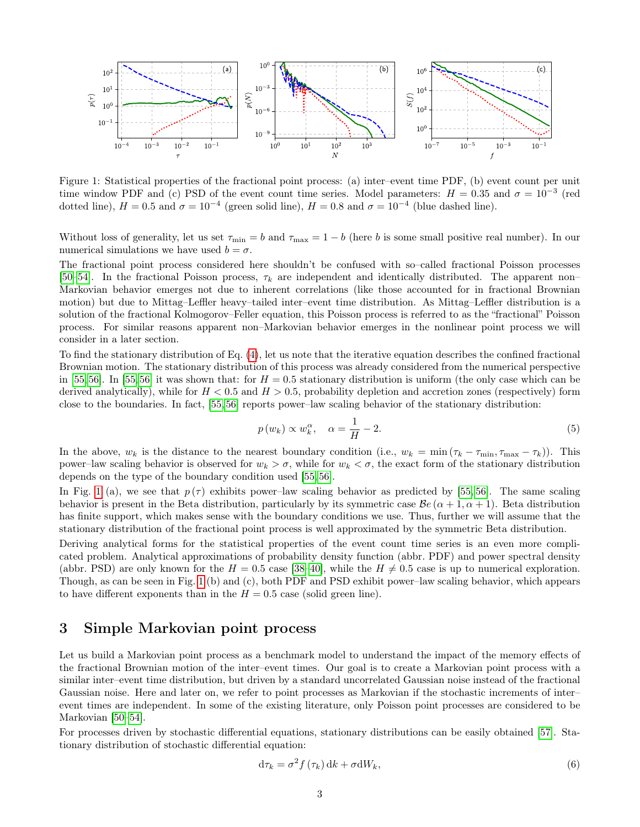

<span id="page-2-1"></span>Figure 1: Statistical properties of the fractional point process: (a) inter–event time PDF, (b) event count per unit time window PDF and (c) PSD of the event count time series. Model parameters:  $H = 0.35$  and  $\sigma = 10^{-3}$  (red dotted line),  $H = 0.5$  and  $\sigma = 10^{-4}$  (green solid line),  $H = 0.8$  and  $\sigma = 10^{-4}$  (blue dashed line).

Without loss of generality, let us set  $\tau_{\min} = b$  and  $\tau_{\max} = 1 - b$  (here b is some small positive real number). In our numerical simulations we have used  $b = \sigma$ .

The fractional point process considered here shouldn't be confused with so–called fractional Poisson processes [\[50](#page-8-13)[–54\]](#page-8-14). In the fractional Poisson process,  $\tau_k$  are independent and identically distributed. The apparent non– Markovian behavior emerges not due to inherent correlations (like those accounted for in fractional Brownian motion) but due to Mittag–Leffler heavy–tailed inter–event time distribution. As Mittag–Leffler distribution is a solution of the fractional Kolmogorov–Feller equation, this Poisson process is referred to as the "fractional" Poisson process. For similar reasons apparent non–Markovian behavior emerges in the nonlinear point process we will consider in a later section.

To find the stationary distribution of Eq. [\(4\)](#page-1-3), let us note that the iterative equation describes the confined fractional Brownian motion. The stationary distribution of this process was already considered from the numerical perspective in [\[55,](#page-9-0)[56\]](#page-9-1). In [55,56] it was shown that: for  $H = 0.5$  stationary distribution is uniform (the only case which can be derived analytically), while for  $H < 0.5$  and  $H > 0.5$ , probability depletion and accretion zones (respectively) form close to the boundaries. In fact, [\[55,](#page-9-0) [56\]](#page-9-1) reports power–law scaling behavior of the stationary distribution:

<span id="page-2-2"></span>
$$
p(w_k) \propto w_k^{\alpha}, \quad \alpha = \frac{1}{H} - 2. \tag{5}
$$

In the above,  $w_k$  is the distance to the nearest boundary condition (i.e.,  $w_k = \min (\tau_k - \tau_{\min}, \tau_{\max} - \tau_k)$ ). This power–law scaling behavior is observed for  $w_k > \sigma$ , while for  $w_k < \sigma$ , the exact form of the stationary distribution depends on the type of the boundary condition used [\[55,](#page-9-0) [56\]](#page-9-1).

In Fig. [1](#page-2-1) (a), we see that  $p(\tau)$  exhibits power–law scaling behavior as predicted by [\[55,](#page-9-0) [56\]](#page-9-1). The same scaling behavior is present in the Beta distribution, particularly by its symmetric case  $\mathcal{B}e(\alpha+1,\alpha+1)$ . Beta distribution has finite support, which makes sense with the boundary conditions we use. Thus, further we will assume that the stationary distribution of the fractional point process is well approximated by the symmetric Beta distribution.

Deriving analytical forms for the statistical properties of the event count time series is an even more complicated problem. Analytical approximations of probability density function (abbr. PDF) and power spectral density (abbr. PSD) are only known for the  $H = 0.5$  case [\[38–](#page-8-3)[40\]](#page-8-4), while the  $H \neq 0.5$  case is up to numerical exploration. Though, as can be seen in Fig. [1](#page-2-1) (b) and (c), both PDF and PSD exhibit power–law scaling behavior, which appears to have different exponents than in the  $H = 0.5$  case (solid green line).

### <span id="page-2-0"></span>3 Simple Markovian point process

Let us build a Markovian point process as a benchmark model to understand the impact of the memory effects of the fractional Brownian motion of the inter–event times. Our goal is to create a Markovian point process with a similar inter–event time distribution, but driven by a standard uncorrelated Gaussian noise instead of the fractional Gaussian noise. Here and later on, we refer to point processes as Markovian if the stochastic increments of inter– event times are independent. In some of the existing literature, only Poisson point processes are considered to be Markovian [\[50–](#page-8-13)[54\]](#page-8-14).

For processes driven by stochastic differential equations, stationary distributions can be easily obtained [\[57\]](#page-9-2). Stationary distribution of stochastic differential equation:

<span id="page-2-3"></span>
$$
\mathrm{d}\tau_k = \sigma^2 f\left(\tau_k\right) \mathrm{d}k + \sigma \mathrm{d}W_k,\tag{6}
$$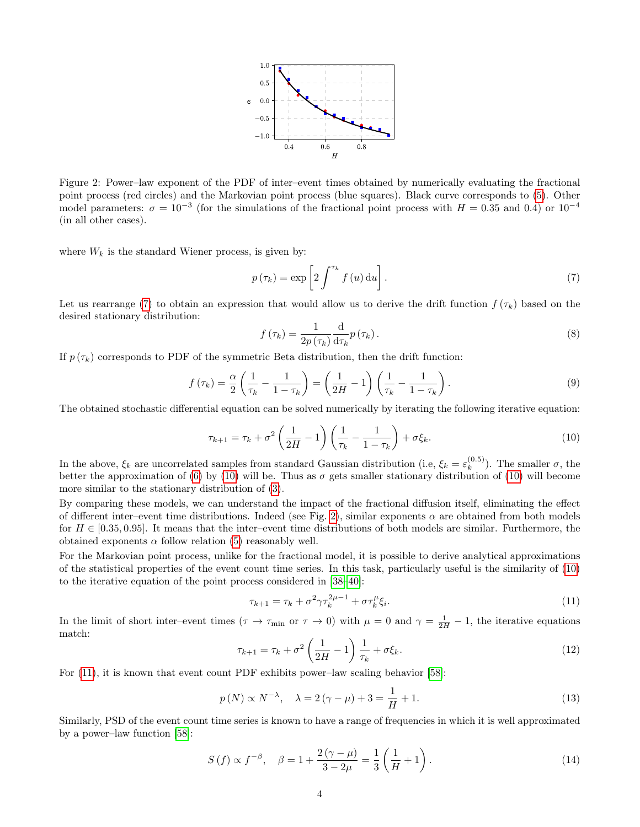

<span id="page-3-2"></span>Figure 2: Power–law exponent of the PDF of inter–event times obtained by numerically evaluating the fractional point process (red circles) and the Markovian point process (blue squares). Black curve corresponds to [\(5\)](#page-2-2). Other model parameters:  $\sigma = 10^{-3}$  (for the simulations of the fractional point process with  $H = 0.35$  and 0.4) or  $10^{-4}$ (in all other cases).

where  $W_k$  is the standard Wiener process, is given by:

<span id="page-3-0"></span>
$$
p(\tau_k) = \exp\left[2\int^{\tau_k} f(u) \, \mathrm{d}u\right].\tag{7}
$$

Let us rearrange [\(7\)](#page-3-0) to obtain an expression that would allow us to derive the drift function  $f(\tau_k)$  based on the desired stationary distribution:

$$
f(\tau_k) = \frac{1}{2p(\tau_k)} \frac{\mathrm{d}}{\mathrm{d}\tau_k} p(\tau_k). \tag{8}
$$

If  $p(\tau_k)$  corresponds to PDF of the symmetric Beta distribution, then the drift function:

$$
f\left(\tau_{k}\right) = \frac{\alpha}{2} \left(\frac{1}{\tau_{k}} - \frac{1}{1 - \tau_{k}}\right) = \left(\frac{1}{2H} - 1\right) \left(\frac{1}{\tau_{k}} - \frac{1}{1 - \tau_{k}}\right). \tag{9}
$$

<span id="page-3-1"></span>The obtained stochastic differential equation can be solved numerically by iterating the following iterative equation:

$$
\tau_{k+1} = \tau_k + \sigma^2 \left(\frac{1}{2H} - 1\right) \left(\frac{1}{\tau_k} - \frac{1}{1 - \tau_k}\right) + \sigma \xi_k.
$$
\n(10)

In the above,  $\xi_k$  are uncorrelated samples from standard Gaussian distribution (i.e,  $\xi_k = \varepsilon_k^{(0.5)}$ )  $\binom{(0.5)}{k}$ . The smaller  $\sigma$ , the better the approximation of [\(6\)](#page-2-3) by [\(10\)](#page-3-1) will be. Thus as  $\sigma$  gets smaller stationary distribution of (10) will become more similar to the stationary distribution of [\(3\)](#page-1-2).

By comparing these models, we can understand the impact of the fractional diffusion itself, eliminating the effect of different inter–event time distributions. Indeed (see Fig. [2\)](#page-3-2), similar exponents  $\alpha$  are obtained from both models for  $H \in [0.35, 0.95]$ . It means that the inter–event time distributions of both models are similar. Furthermore, the obtained exponents  $\alpha$  follow relation [\(5\)](#page-2-2) reasonably well.

For the Markovian point process, unlike for the fractional model, it is possible to derive analytical approximations of the statistical properties of the event count time series. In this task, particularly useful is the similarity of [\(10\)](#page-3-1) to the iterative equation of the point process considered in [\[38](#page-8-3)[–40\]](#page-8-4):

<span id="page-3-4"></span><span id="page-3-3"></span>
$$
\tau_{k+1} = \tau_k + \sigma^2 \gamma \tau_k^{2\mu - 1} + \sigma \tau_k^{\mu} \xi_i.
$$
\n(11)

In the limit of short inter–event times  $(\tau \to \tau_{\min}$  or  $\tau \to 0)$  with  $\mu = 0$  and  $\gamma = \frac{1}{2H} - 1$ , the iterative equations match:

$$
\tau_{k+1} = \tau_k + \sigma^2 \left(\frac{1}{2H} - 1\right) \frac{1}{\tau_k} + \sigma \xi_k.
$$
\n<sup>(12)</sup>

For [\(11\)](#page-3-3), it is known that event count PDF exhibits power–law scaling behavior [\[58\]](#page-9-3):

$$
p(N) \propto N^{-\lambda}, \quad \lambda = 2(\gamma - \mu) + 3 = \frac{1}{H} + 1.
$$
 (13)

Similarly, PSD of the event count time series is known to have a range of frequencies in which it is well approximated by a power–law function [\[58\]](#page-9-3):

<span id="page-3-5"></span>
$$
S(f) \propto f^{-\beta}, \quad \beta = 1 + \frac{2(\gamma - \mu)}{3 - 2\mu} = \frac{1}{3} \left( \frac{1}{H} + 1 \right). \tag{14}
$$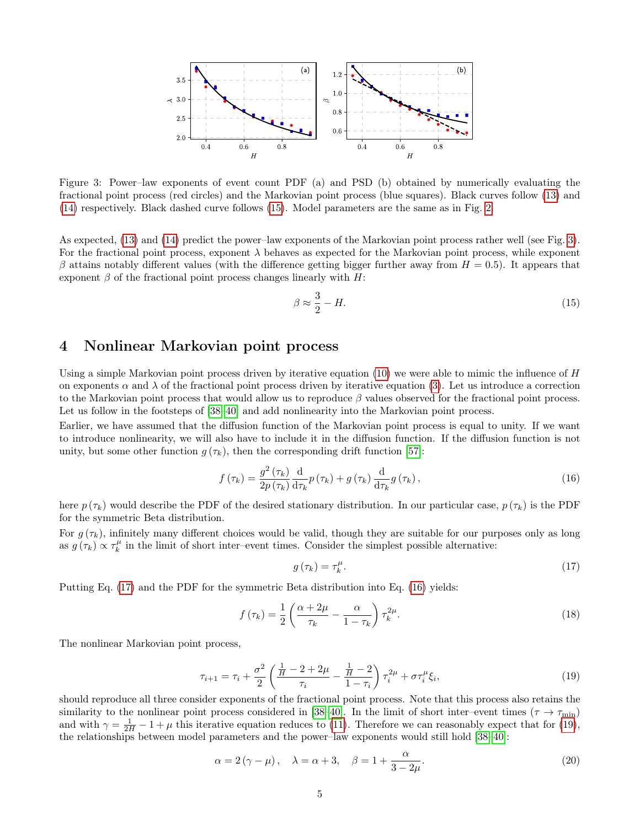

<span id="page-4-2"></span>Figure 3: Power–law exponents of event count PDF (a) and PSD (b) obtained by numerically evaluating the fractional point process (red circles) and the Markovian point process (blue squares). Black curves follow [\(13\)](#page-3-4) and [\(14\)](#page-3-5) respectively. Black dashed curve follows [\(15\)](#page-4-1). Model parameters are the same as in Fig. [2.](#page-3-2)

As expected, [\(13\)](#page-3-4) and [\(14\)](#page-3-5) predict the power–law exponents of the Markovian point process rather well (see Fig. [3\)](#page-4-2). For the fractional point process, exponent  $\lambda$  behaves as expected for the Markovian point process, while exponent  $\beta$  attains notably different values (with the difference getting bigger further away from  $H = 0.5$ ). It appears that exponent  $\beta$  of the fractional point process changes linearly with H:

<span id="page-4-1"></span>
$$
\beta \approx \frac{3}{2} - H. \tag{15}
$$

# <span id="page-4-0"></span>4 Nonlinear Markovian point process

Using a simple Markovian point process driven by iterative equation  $(10)$  we were able to mimic the influence of  $H$ on exponents  $\alpha$  and  $\lambda$  of the fractional point process driven by iterative equation [\(3\)](#page-1-2). Let us introduce a correction to the Markovian point process that would allow us to reproduce  $\beta$  values observed for the fractional point process. Let us follow in the footsteps of  $[38–40]$  $[38–40]$  and add nonlinearity into the Markovian point process.

Earlier, we have assumed that the diffusion function of the Markovian point process is equal to unity. If we want to introduce nonlinearity, we will also have to include it in the diffusion function. If the diffusion function is not unity, but some other function  $g(\tau_k)$ , then the corresponding drift function [\[57\]](#page-9-2):

$$
f\left(\tau_{k}\right) = \frac{g^{2}\left(\tau_{k}\right)}{2p\left(\tau_{k}\right)}\frac{\mathrm{d}}{\mathrm{d}\tau_{k}}p\left(\tau_{k}\right) + g\left(\tau_{k}\right)\frac{\mathrm{d}}{\mathrm{d}\tau_{k}}g\left(\tau_{k}\right),\tag{16}
$$

here  $p(\tau_k)$  would describe the PDF of the desired stationary distribution. In our particular case,  $p(\tau_k)$  is the PDF for the symmetric Beta distribution.

For  $g(\tau_k)$ , infinitely many different choices would be valid, though they are suitable for our purposes only as long as  $g(\tau_k) \propto \tau_k^{\mu}$  in the limit of short inter–event times. Consider the simplest possible alternative:

<span id="page-4-4"></span><span id="page-4-3"></span>
$$
g\left(\tau_{k}\right) = \tau_{k}^{\mu}.\tag{17}
$$

Putting Eq. [\(17\)](#page-4-3) and the PDF for the symmetric Beta distribution into Eq. [\(16\)](#page-4-4) yields:

$$
f\left(\tau_{k}\right) = \frac{1}{2} \left( \frac{\alpha + 2\mu}{\tau_{k}} - \frac{\alpha}{1 - \tau_{k}} \right) \tau_{k}^{2\mu}.
$$
 (18)

<span id="page-4-5"></span>The nonlinear Markovian point process,

$$
\tau_{i+1} = \tau_i + \frac{\sigma^2}{2} \left( \frac{\frac{1}{H} - 2 + 2\mu}{\tau_i} - \frac{\frac{1}{H} - 2}{1 - \tau_i} \right) \tau_i^{2\mu} + \sigma \tau_i^{\mu} \xi_i,
$$
\n(19)

should reproduce all three consider exponents of the fractional point process. Note that this process also retains the similarity to the nonlinear point process considered in [\[38–](#page-8-3)[40\]](#page-8-4). In the limit of short inter–event times ( $\tau \to \tau_{\rm min}$ ) and with  $\gamma = \frac{1}{2H} - 1 + \mu$  this iterative equation reduces to [\(11\)](#page-3-3). Therefore we can reasonably expect that for [\(19\)](#page-4-5), the relationships between model parameters and the power–law exponents would still hold [\[38–](#page-8-3)[40\]](#page-8-4):

$$
\alpha = 2(\gamma - \mu), \quad \lambda = \alpha + 3, \quad \beta = 1 + \frac{\alpha}{3 - 2\mu}.
$$
\n(20)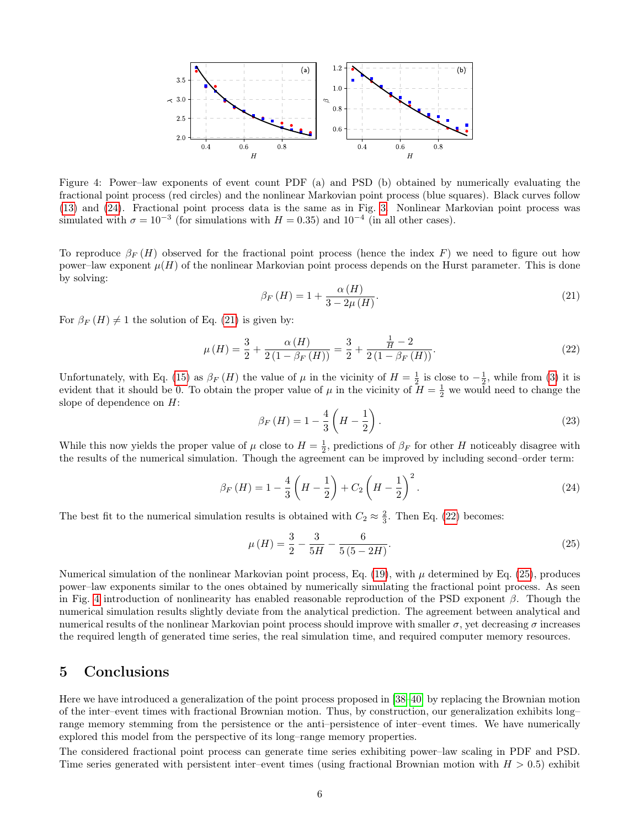

<span id="page-5-5"></span>Figure 4: Power–law exponents of event count PDF (a) and PSD (b) obtained by numerically evaluating the fractional point process (red circles) and the nonlinear Markovian point process (blue squares). Black curves follow [\(13\)](#page-3-4) and [\(24\)](#page-5-1). Fractional point process data is the same as in Fig. [3.](#page-4-2) Nonlinear Markovian point process was simulated with  $\sigma = 10^{-3}$  (for simulations with  $H = 0.35$ ) and  $10^{-4}$  (in all other cases).

<span id="page-5-2"></span>To reproduce  $\beta_F(H)$  observed for the fractional point process (hence the index F) we need to figure out how power–law exponent  $\mu(H)$  of the nonlinear Markovian point process depends on the Hurst parameter. This is done by solving:

<span id="page-5-3"></span>
$$
\beta_F(H) = 1 + \frac{\alpha(H)}{3 - 2\mu(H)}.\tag{21}
$$

For  $\beta_F(H) \neq 1$  the solution of Eq. [\(21\)](#page-5-2) is given by:

$$
\mu(H) = \frac{3}{2} + \frac{\alpha(H)}{2(1 - \beta_F(H))} = \frac{3}{2} + \frac{\frac{1}{H} - 2}{2(1 - \beta_F(H))}.
$$
\n(22)

Unfortunately, with Eq. [\(15\)](#page-4-1) as  $\beta_F(H)$  the value of  $\mu$  in the vicinity of  $H=\frac{1}{2}$  is close to  $-\frac{1}{2}$ , while from [\(3\)](#page-1-2) it is evident that it should be 0. To obtain the proper value of  $\mu$  in the vicinity of  $H = \frac{1}{2}$  we would need to change the slope of dependence on H:

<span id="page-5-1"></span>
$$
\beta_F(H) = 1 - \frac{4}{3} \left( H - \frac{1}{2} \right). \tag{23}
$$

While this now yields the proper value of  $\mu$  close to  $H = \frac{1}{2}$ , predictions of  $\beta_F$  for other H noticeably disagree with the results of the numerical simulation. Though the agreement can be improved by including second–order term:

$$
\beta_F(H) = 1 - \frac{4}{3} \left( H - \frac{1}{2} \right) + C_2 \left( H - \frac{1}{2} \right)^2.
$$
 (24)

The best fit to the numerical simulation results is obtained with  $C_2 \approx \frac{2}{3}$ . Then Eq. [\(22\)](#page-5-3) becomes:

<span id="page-5-4"></span>
$$
\mu(H) = \frac{3}{2} - \frac{3}{5H} - \frac{6}{5(5-2H)}.\tag{25}
$$

Numerical simulation of the nonlinear Markovian point process, Eq. [\(19\)](#page-4-5), with  $\mu$  determined by Eq. [\(25\)](#page-5-4), produces power–law exponents similar to the ones obtained by numerically simulating the fractional point process. As seen in Fig. [4](#page-5-5) introduction of nonlinearity has enabled reasonable reproduction of the PSD exponent  $\beta$ . Though the numerical simulation results slightly deviate from the analytical prediction. The agreement between analytical and numerical results of the nonlinear Markovian point process should improve with smaller  $\sigma$ , yet decreasing  $\sigma$  increases the required length of generated time series, the real simulation time, and required computer memory resources.

# <span id="page-5-0"></span>5 Conclusions

Here we have introduced a generalization of the point process proposed in [\[38–](#page-8-3)[40\]](#page-8-4) by replacing the Brownian motion of the inter–event times with fractional Brownian motion. Thus, by construction, our generalization exhibits long– range memory stemming from the persistence or the anti–persistence of inter–event times. We have numerically explored this model from the perspective of its long–range memory properties.

The considered fractional point process can generate time series exhibiting power–law scaling in PDF and PSD. Time series generated with persistent inter–event times (using fractional Brownian motion with  $H > 0.5$ ) exhibit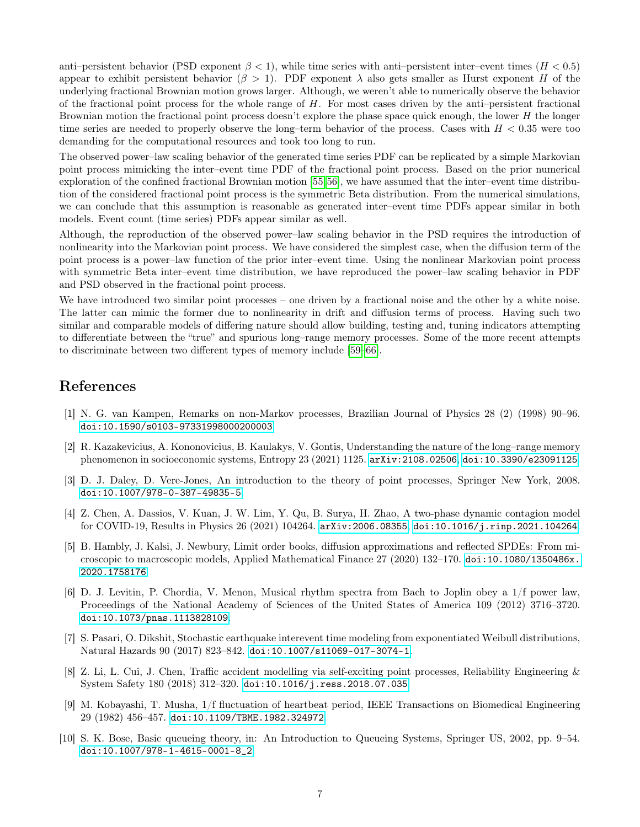anti–persistent behavior (PSD exponent  $\beta$  < 1), while time series with anti–persistent inter–event times ( $H$  < 0.5) appear to exhibit persistent behavior ( $\beta > 1$ ). PDF exponent  $\lambda$  also gets smaller as Hurst exponent H of the underlying fractional Brownian motion grows larger. Although, we weren't able to numerically observe the behavior of the fractional point process for the whole range of  $H$ . For most cases driven by the anti-persistent fractional Brownian motion the fractional point process doesn't explore the phase space quick enough, the lower  $H$  the longer time series are needed to properly observe the long–term behavior of the process. Cases with  $H < 0.35$  were too demanding for the computational resources and took too long to run.

The observed power–law scaling behavior of the generated time series PDF can be replicated by a simple Markovian point process mimicking the inter–event time PDF of the fractional point process. Based on the prior numerical exploration of the confined fractional Brownian motion [\[55,](#page-9-0)[56\]](#page-9-1), we have assumed that the inter–event time distribution of the considered fractional point process is the symmetric Beta distribution. From the numerical simulations, we can conclude that this assumption is reasonable as generated inter–event time PDFs appear similar in both models. Event count (time series) PDFs appear similar as well.

Although, the reproduction of the observed power–law scaling behavior in the PSD requires the introduction of nonlinearity into the Markovian point process. We have considered the simplest case, when the diffusion term of the point process is a power–law function of the prior inter–event time. Using the nonlinear Markovian point process with symmetric Beta inter–event time distribution, we have reproduced the power–law scaling behavior in PDF and PSD observed in the fractional point process.

We have introduced two similar point processes – one driven by a fractional noise and the other by a white noise. The latter can mimic the former due to nonlinearity in drift and diffusion terms of process. Having such two similar and comparable models of differing nature should allow building, testing and, tuning indicators attempting to differentiate between the "true" and spurious long–range memory processes. Some of the more recent attempts to discriminate between two different types of memory include [\[59–](#page-9-4)[66\]](#page-9-5).

# References

- <span id="page-6-0"></span>[1] N. G. van Kampen, Remarks on non-Markov processes, Brazilian Journal of Physics 28 (2) (1998) 90–96. [doi:10.1590/s0103-97331998000200003](https://doi.org/10.1590/s0103-97331998000200003).
- <span id="page-6-1"></span>[2] R. Kazakevicius, A. Kononovicius, B. Kaulakys, V. Gontis, Understanding the nature of the long–range memory phenomenon in socioeconomic systems, Entropy 23 (2021) 1125. [arXiv:2108.02506](http://arxiv.org/abs/2108.02506), [doi:10.3390/e23091125](https://doi.org/10.3390/e23091125).
- <span id="page-6-2"></span>[3] D. J. Daley, D. Vere-Jones, An introduction to the theory of point processes, Springer New York, 2008. [doi:10.1007/978-0-387-49835-5](https://doi.org/10.1007/978-0-387-49835-5).
- <span id="page-6-3"></span>[4] Z. Chen, A. Dassios, V. Kuan, J. W. Lim, Y. Qu, B. Surya, H. Zhao, A two-phase dynamic contagion model for COVID-19, Results in Physics 26 (2021) 104264. [arXiv:2006.08355](http://arxiv.org/abs/2006.08355), [doi:10.1016/j.rinp.2021.104264](https://doi.org/10.1016/j.rinp.2021.104264).
- <span id="page-6-4"></span>[5] B. Hambly, J. Kalsi, J. Newbury, Limit order books, diffusion approximations and reflected SPDEs: From microscopic to macroscopic models, Applied Mathematical Finance 27 (2020) 132–170. [doi:10.1080/1350486x.](https://doi.org/10.1080/1350486x.2020.1758176) [2020.1758176](https://doi.org/10.1080/1350486x.2020.1758176).
- <span id="page-6-5"></span>[6] D. J. Levitin, P. Chordia, V. Menon, Musical rhythm spectra from Bach to Joplin obey a 1/f power law, Proceedings of the National Academy of Sciences of the United States of America 109 (2012) 3716–3720. [doi:10.1073/pnas.1113828109](https://doi.org/10.1073/pnas.1113828109).
- <span id="page-6-6"></span>[7] S. Pasari, O. Dikshit, Stochastic earthquake interevent time modeling from exponentiated Weibull distributions, Natural Hazards 90 (2017) 823–842. [doi:10.1007/s11069-017-3074-1](https://doi.org/10.1007/s11069-017-3074-1).
- <span id="page-6-7"></span>[8] Z. Li, L. Cui, J. Chen, Traffic accident modelling via self-exciting point processes, Reliability Engineering & System Safety 180 (2018) 312–320. [doi:10.1016/j.ress.2018.07.035](https://doi.org/10.1016/j.ress.2018.07.035).
- <span id="page-6-8"></span>[9] M. Kobayashi, T. Musha, 1/f fluctuation of heartbeat period, IEEE Transactions on Biomedical Engineering 29 (1982) 456–457. [doi:10.1109/TBME.1982.324972](https://doi.org/10.1109/TBME.1982.324972).
- <span id="page-6-9"></span>[10] S. K. Bose, Basic queueing theory, in: An Introduction to Queueing Systems, Springer US, 2002, pp. 9–54. [doi:10.1007/978-1-4615-0001-8\\_2](https://doi.org/10.1007/978-1-4615-0001-8_2).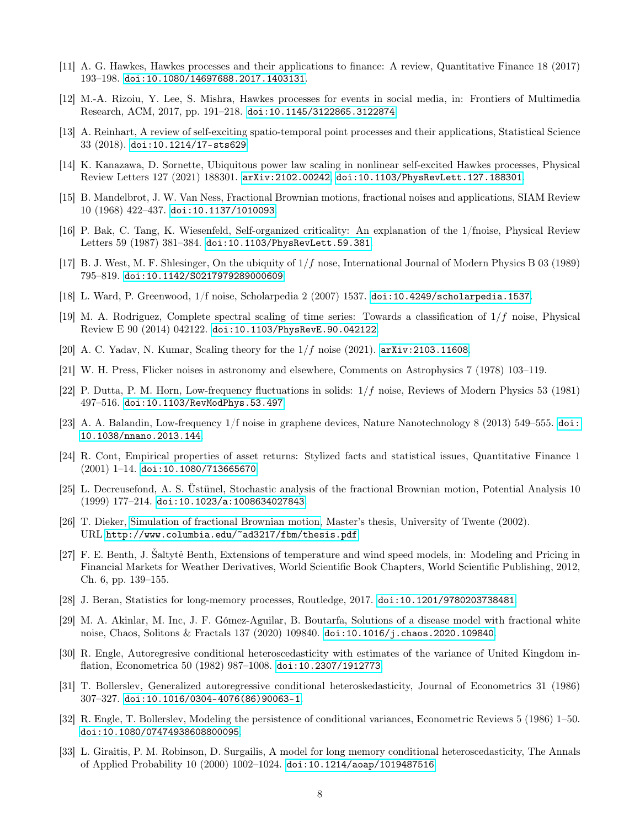- <span id="page-7-0"></span>[11] A. G. Hawkes, Hawkes processes and their applications to finance: A review, Quantitative Finance 18 (2017) 193–198. [doi:10.1080/14697688.2017.1403131](https://doi.org/10.1080/14697688.2017.1403131).
- <span id="page-7-1"></span>[12] M.-A. Rizoiu, Y. Lee, S. Mishra, Hawkes processes for events in social media, in: Frontiers of Multimedia Research, ACM, 2017, pp. 191–218. [doi:10.1145/3122865.3122874](https://doi.org/10.1145/3122865.3122874).
- <span id="page-7-2"></span>[13] A. Reinhart, A review of self-exciting spatio-temporal point processes and their applications, Statistical Science 33 (2018). [doi:10.1214/17-sts629](https://doi.org/10.1214/17-sts629).
- <span id="page-7-3"></span>[14] K. Kanazawa, D. Sornette, Ubiquitous power law scaling in nonlinear self-excited Hawkes processes, Physical Review Letters 127 (2021) 188301. [arXiv:2102.00242](http://arxiv.org/abs/2102.00242), [doi:10.1103/PhysRevLett.127.188301](https://doi.org/10.1103/PhysRevLett.127.188301).
- <span id="page-7-4"></span>[15] B. Mandelbrot, J. W. Van Ness, Fractional Brownian motions, fractional noises and applications, SIAM Review 10 (1968) 422–437. [doi:10.1137/1010093](https://doi.org/10.1137/1010093).
- [16] P. Bak, C. Tang, K. Wiesenfeld, Self-organized criticality: An explanation of the 1/fnoise, Physical Review Letters 59 (1987) 381–384. [doi:10.1103/PhysRevLett.59.381](https://doi.org/10.1103/PhysRevLett.59.381).
- [17] B. J. West, M. F. Shlesinger, On the ubiquity of 1/f nose, International Journal of Modern Physics B 03 (1989) 795–819. [doi:10.1142/S0217979289000609](https://doi.org/10.1142/S0217979289000609).
- [18] L. Ward, P. Greenwood, 1/f noise, Scholarpedia 2 (2007) 1537. [doi:10.4249/scholarpedia.1537](https://doi.org/10.4249/scholarpedia.1537).
- [19] M. A. Rodriguez, Complete spectral scaling of time series: Towards a classification of  $1/f$  noise, Physical Review E 90 (2014) 042122. [doi:10.1103/PhysRevE.90.042122](https://doi.org/10.1103/PhysRevE.90.042122).
- <span id="page-7-5"></span>[20] A. C. Yadav, N. Kumar, Scaling theory for the  $1/f$  noise (2021). arXiv: 2103.11608.
- <span id="page-7-6"></span>[21] W. H. Press, Flicker noises in astronomy and elsewhere, Comments on Astrophysics 7 (1978) 103–119.
- [22] P. Dutta, P. M. Horn, Low-frequency fluctuations in solids: 1/f noise, Reviews of Modern Physics 53 (1981) 497–516. [doi:10.1103/RevModPhys.53.497](https://doi.org/10.1103/RevModPhys.53.497).
- <span id="page-7-7"></span>[23] A. A. Balandin, Low-frequency 1/f noise in graphene devices, Nature Nanotechnology 8 (2013) 549–555. [doi:](https://doi.org/10.1038/nnano.2013.144) [10.1038/nnano.2013.144](https://doi.org/10.1038/nnano.2013.144).
- <span id="page-7-8"></span>[24] R. Cont, Empirical properties of asset returns: Stylized facts and statistical issues, Quantitative Finance 1  $(2001)$  1-14. [doi:10.1080/713665670](https://doi.org/10.1080/713665670).
- <span id="page-7-9"></span>[25] L. Decreusefond, A. S. Üstünel, Stochastic analysis of the fractional Brownian motion, Potential Analysis 10 (1999) 177–214. [doi:10.1023/a:1008634027843](https://doi.org/10.1023/a:1008634027843).
- [26] T. Dieker, [Simulation of fractional Brownian motion,](http://www.columbia.edu/~ad3217/fbm/thesis.pdf) Master's thesis, University of Twente (2002). URL <http://www.columbia.edu/~ad3217/fbm/thesis.pdf>
- [27] F. E. Benth, J. Saltytė Benth, Extensions of temperature and wind speed models, in: Modeling and Pricing in Financial Markets for Weather Derivatives, World Scientific Book Chapters, World Scientific Publishing, 2012, Ch. 6, pp. 139–155.
- [28] J. Beran, Statistics for long-memory processes, Routledge, 2017. [doi:10.1201/9780203738481](https://doi.org/10.1201/9780203738481).
- <span id="page-7-10"></span>[29] M. A. Akinlar, M. Inc, J. F. Gómez-Aguilar, B. Boutarfa, Solutions of a disease model with fractional white noise, Chaos, Solitons & Fractals 137 (2020) 109840. [doi:10.1016/j.chaos.2020.109840](https://doi.org/10.1016/j.chaos.2020.109840).
- <span id="page-7-11"></span>[30] R. Engle, Autoregresive conditional heteroscedasticity with estimates of the variance of United Kingdom inflation, Econometrica 50 (1982) 987–1008. [doi:10.2307/1912773](https://doi.org/10.2307/1912773).
- [31] T. Bollerslev, Generalized autoregressive conditional heteroskedasticity, Journal of Econometrics 31 (1986) 307–327. [doi:10.1016/0304-4076\(86\)90063-1](https://doi.org/10.1016/0304-4076(86)90063-1).
- [32] R. Engle, T. Bollerslev, Modeling the persistence of conditional variances, Econometric Reviews 5 (1986) 1–50. [doi:10.1080/07474938608800095](https://doi.org/10.1080/07474938608800095).
- [33] L. Giraitis, P. M. Robinson, D. Surgailis, A model for long memory conditional heteroscedasticity, The Annals of Applied Probability 10 (2000) 1002–1024. [doi:10.1214/aoap/1019487516](https://doi.org/10.1214/aoap/1019487516).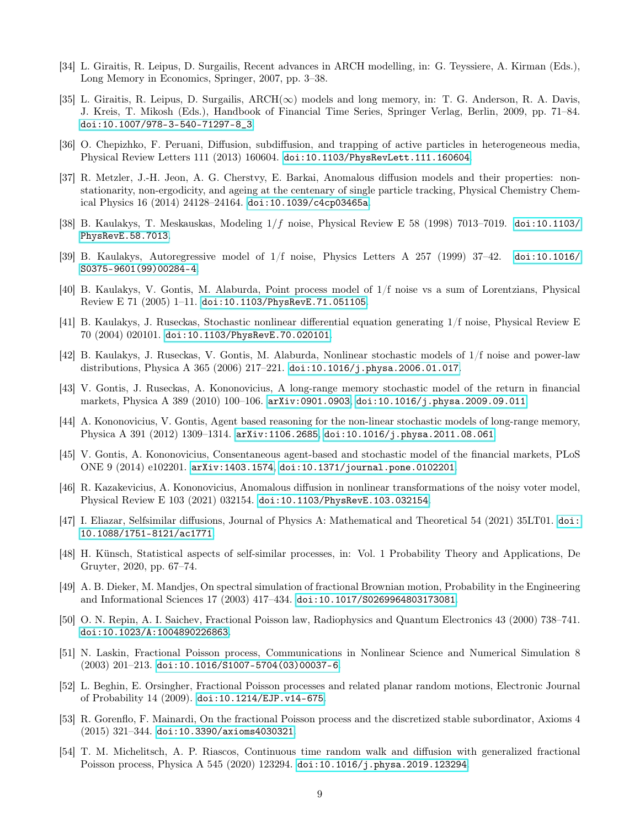- [34] L. Giraitis, R. Leipus, D. Surgailis, Recent advances in ARCH modelling, in: G. Teyssiere, A. Kirman (Eds.), Long Memory in Economics, Springer, 2007, pp. 3–38.
- <span id="page-8-0"></span>[35] L. Giraitis, R. Leipus, D. Surgailis,  $\text{ARCH}(\infty)$  models and long memory, in: T. G. Anderson, R. A. Davis, J. Kreis, T. Mikosh (Eds.), Handbook of Financial Time Series, Springer Verlag, Berlin, 2009, pp. 71–84. [doi:10.1007/978-3-540-71297-8\\_3](https://doi.org/10.1007/978-3-540-71297-8_3).
- <span id="page-8-1"></span>[36] O. Chepizhko, F. Peruani, Diffusion, subdiffusion, and trapping of active particles in heterogeneous media, Physical Review Letters 111 (2013) 160604. [doi:10.1103/PhysRevLett.111.160604](https://doi.org/10.1103/PhysRevLett.111.160604).
- <span id="page-8-2"></span>[37] R. Metzler, J.-H. Jeon, A. G. Cherstvy, E. Barkai, Anomalous diffusion models and their properties: nonstationarity, non-ergodicity, and ageing at the centenary of single particle tracking, Physical Chemistry Chemical Physics 16 (2014) 24128–24164. [doi:10.1039/c4cp03465a](https://doi.org/10.1039/c4cp03465a).
- <span id="page-8-3"></span>[38] B. Kaulakys, T. Meskauskas, Modeling 1/f noise, Physical Review E 58 (1998) 7013–7019. [doi:10.1103/](https://doi.org/10.1103/PhysRevE.58.7013) [PhysRevE.58.7013](https://doi.org/10.1103/PhysRevE.58.7013).
- [39] B. Kaulakys, Autoregressive model of 1/f noise, Physics Letters A 257 (1999) 37–42. [doi:10.1016/](https://doi.org/10.1016/S0375-9601(99)00284-4) [S0375-9601\(99\)00284-4](https://doi.org/10.1016/S0375-9601(99)00284-4).
- <span id="page-8-4"></span>[40] B. Kaulakys, V. Gontis, M. Alaburda, Point process model of 1/f noise vs a sum of Lorentzians, Physical Review E 71 (2005) 1–11. [doi:10.1103/PhysRevE.71.051105](https://doi.org/10.1103/PhysRevE.71.051105).
- <span id="page-8-5"></span>[41] B. Kaulakys, J. Ruseckas, Stochastic nonlinear differential equation generating 1/f noise, Physical Review E 70 (2004) 020101. [doi:10.1103/PhysRevE.70.020101](https://doi.org/10.1103/PhysRevE.70.020101).
- [42] B. Kaulakys, J. Ruseckas, V. Gontis, M. Alaburda, Nonlinear stochastic models of 1/f noise and power-law distributions, Physica A 365 (2006) 217–221. [doi:10.1016/j.physa.2006.01.017](https://doi.org/10.1016/j.physa.2006.01.017).
- <span id="page-8-6"></span>[43] V. Gontis, J. Ruseckas, A. Kononovicius, A long-range memory stochastic model of the return in financial markets, Physica A 389 (2010) 100–106. [arXiv:0901.0903](http://arxiv.org/abs/0901.0903), [doi:10.1016/j.physa.2009.09.011](https://doi.org/10.1016/j.physa.2009.09.011).
- <span id="page-8-7"></span>[44] A. Kononovicius, V. Gontis, Agent based reasoning for the non-linear stochastic models of long-range memory, Physica A 391 (2012) 1309–1314. [arXiv:1106.2685](http://arxiv.org/abs/1106.2685), [doi:10.1016/j.physa.2011.08.061](https://doi.org/10.1016/j.physa.2011.08.061).
- <span id="page-8-8"></span>[45] V. Gontis, A. Kononovicius, Consentaneous agent-based and stochastic model of the financial markets, PLoS ONE 9 (2014) e102201. [arXiv:1403.1574](http://arxiv.org/abs/1403.1574), [doi:10.1371/journal.pone.0102201](https://doi.org/10.1371/journal.pone.0102201).
- <span id="page-8-9"></span>[46] R. Kazakevicius, A. Kononovicius, Anomalous diffusion in nonlinear transformations of the noisy voter model, Physical Review E 103 (2021) 032154. [doi:10.1103/PhysRevE.103.032154](https://doi.org/10.1103/PhysRevE.103.032154).
- <span id="page-8-10"></span>[47] I. Eliazar, Selfsimilar diffusions, Journal of Physics A: Mathematical and Theoretical 54 (2021) 35LT01. [doi:](https://doi.org/10.1088/1751-8121/ac1771) [10.1088/1751-8121/ac1771](https://doi.org/10.1088/1751-8121/ac1771).
- <span id="page-8-11"></span>[48] H. Künsch, Statistical aspects of self-similar processes, in: Vol. 1 Probability Theory and Applications, De Gruyter, 2020, pp. 67–74.
- <span id="page-8-12"></span>[49] A. B. Dieker, M. Mandjes, On spectral simulation of fractional Brownian motion, Probability in the Engineering and Informational Sciences 17 (2003) 417–434. [doi:10.1017/S0269964803173081](https://doi.org/10.1017/S0269964803173081).
- <span id="page-8-13"></span>[50] O. N. Repin, A. I. Saichev, Fractional Poisson law, Radiophysics and Quantum Electronics 43 (2000) 738–741. [doi:10.1023/A:1004890226863](https://doi.org/10.1023/A:1004890226863).
- [51] N. Laskin, Fractional Poisson process, Communications in Nonlinear Science and Numerical Simulation 8 (2003) 201–213. [doi:10.1016/S1007-5704\(03\)00037-6](https://doi.org/10.1016/S1007-5704(03)00037-6).
- [52] L. Beghin, E. Orsingher, Fractional Poisson processes and related planar random motions, Electronic Journal of Probability 14 (2009). [doi:10.1214/EJP.v14-675](https://doi.org/10.1214/EJP.v14-675).
- [53] R. Gorenflo, F. Mainardi, On the fractional Poisson process and the discretized stable subordinator, Axioms 4 (2015) 321–344. [doi:10.3390/axioms4030321](https://doi.org/10.3390/axioms4030321).
- <span id="page-8-14"></span>[54] T. M. Michelitsch, A. P. Riascos, Continuous time random walk and diffusion with generalized fractional Poisson process, Physica A 545 (2020) 123294. [doi:10.1016/j.physa.2019.123294](https://doi.org/10.1016/j.physa.2019.123294).